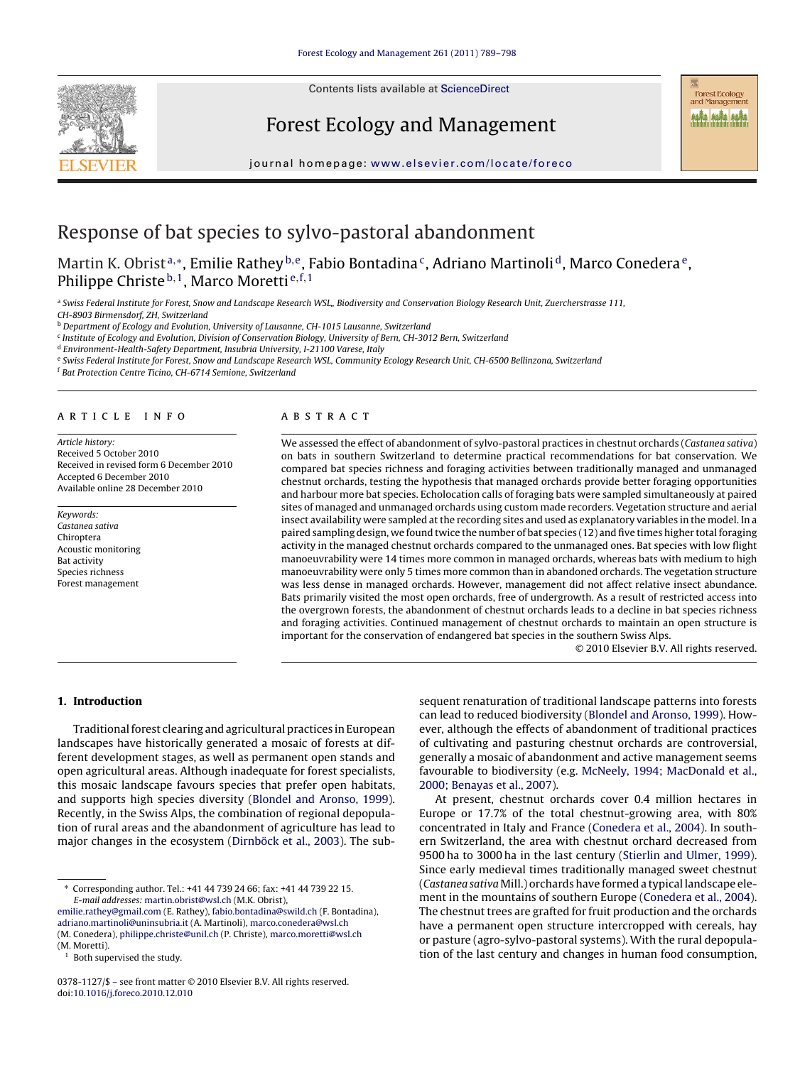Contents lists available at [ScienceDirect](http://www.sciencedirect.com/science/journal/03781127)

## Forest Ecology and Management

journal homepage: [www.elsevier.com/locate/foreco](http://www.elsevier.com/locate/foreco)

# Response of bat species to sylvo-pastoral abandonment

Martin K. Obrist<sup>a,</sup>\*, Emilie Rathey <sup>b, e</sup>, Fabio Bontadina<sup>c</sup>, Adriano Martinoli<sup>d</sup>, Marco Conedera<sup>e</sup>, Philippe Christe<sup>b, 1</sup>, Marco Moretti<sup>e, f, 1</sup>

a Swiss Federal Institute for Forest, Snow and Landscape Research WSL,, Biodiversity and Conservation Biology Research Unit, Zuercherstrasse 111,

CH-8903 Birmensdorf, ZH, Switzerland

**b** Department of Ecology and Evolution, University of Lausanne, CH-1015 Lausanne, Switzerland

<sup>c</sup> Institute of Ecology and Evolution, Division of Conservation Biology, University of Bern, CH-3012 Bern, Switzerland

<sup>d</sup> Environment-Health-Safety Department, Insubria University, I-21100 Varese, Italy

e Swiss Federal Institute for Forest, Snow and Landscape Research WSL, Community Ecology Research Unit, CH-6500 Bellinzona, Switzerland

<sup>f</sup> Bat Protection Centre Ticino, CH-6714 Semione, Switzerland

## article info

Article history: Received 5 October 2010 Received in revised form 6 December 2010 Accepted 6 December 2010 Available online 28 December 2010

Keywords: Castanea sativa Chiroptera Acoustic monitoring Bat activity Species richness Forest management

## **ABSTRACT**

We assessed the effect of abandonment of sylvo-pastoral practices in chestnut orchards (Castanea sativa) on bats in southern Switzerland to determine practical recommendations for bat conservation. We compared bat species richness and foraging activities between traditionally managed and unmanaged chestnut orchards, testing the hypothesis that managed orchards provide better foraging opportunities and harbour more bat species. Echolocation calls of foraging bats were sampled simultaneously at paired sites of managed and unmanaged orchards using custom made recorders. Vegetation structure and aerial insect availability were sampled at the recording sites and used as explanatory variables in the model. In a paired sampling design, we found twice the number of bat species (12) and five times higher total foraging activity in the managed chestnut orchards compared to the unmanaged ones. Bat species with low flight manoeuvrability were 14 times more common in managed orchards, whereas bats with medium to high manoeuvrability were only 5 times more common than in abandoned orchards. The vegetation structure was less dense in managed orchards. However, management did not affect relative insect abundance. Bats primarily visited the most open orchards, free of undergrowth. As a result of restricted access into the overgrown forests, the abandonment of chestnut orchards leads to a decline in bat species richness and foraging activities. Continued management of chestnut orchards to maintain an open structure is important for the conservation of endangered bat species in the southern Swiss Alps.

© 2010 Elsevier B.V. All rights reserved.

## **1. Introduction**

Traditional forest clearing and agricultural practices in European landscapes have historically generated a mosaic of forests at different development stages, as well as permanent open stands and open agricultural areas. Although inadequate for forest specialists, this mosaic landscape favours species that prefer open habitats, and supports high species diversity [\(Blondel and Aronso, 1999\).](#page-8-0) Recently, in the Swiss Alps, the combination of regional depopulation of rural areas and the abandonment of agriculture has lead to major changes in the ecosystem ([Dirnböck et al., 2003\).](#page-8-0) The subsequent renaturation of traditional landscape patterns into forests can lead to reduced biodiversity [\(Blondel and Aronso, 1999\).](#page-8-0) However, although the effects of abandonment of traditional practices of cultivating and pasturing chestnut orchards are controversial, generally a mosaic of abandonment and active management seems favourable to biodiversity (e.g. [McNeely, 1994; MacDonald et al.,](#page-8-0) [2000; Benayas et al., 2007\).](#page-8-0)

At present, chestnut orchards cover 0.4 million hectares in Europe or 17.7% of the total chestnut-growing area, with 80% concentrated in Italy and France [\(Conedera et al., 2004\).](#page-8-0) In southern Switzerland, the area with chestnut orchard decreased from 9500 ha to 3000 ha in the last century ([Stierlin and Ulmer, 1999\).](#page-9-0) Since early medieval times traditionally managed sweet chestnut (Castanea sativa Mill.) orchards have formed a typical landscape element in the mountains of southern Europe [\(Conedera et al., 2004\).](#page-8-0) The chestnut trees are grafted for fruit production and the orchards have a permanent open structure intercropped with cereals, hay or pasture (agro-sylvo-pastoral systems). With the rural depopulation of the last century and changes in human food consumption,

<sup>∗</sup> Corresponding author. Tel.: +41 44 739 24 66; fax: +41 44 739 22 15. E-mail addresses: [martin.obrist@wsl.ch](mailto:martin.obrist@wsl.ch) (M.K. Obrist),

[emilie.rathey@gmail.com](mailto:emilie.rathey@gmail.com) (E. Rathey), [fabio.bontadina@swild.ch](mailto:fabio.bontadina@swild.ch) (F. Bontadina), [adriano.martinoli@uninsubria.it](mailto:adriano.martinoli@uninsubria.it) (A. Martinoli), [marco.conedera@wsl.ch](mailto:marco.conedera@wsl.ch) (M. Conedera), [philippe.christe@unil.ch](mailto:philippe.christe@unil.ch) (P. Christe), [marco.moretti@wsl.ch](mailto:marco.moretti@wsl.ch) (M. Moretti).

Both supervised the study.

<sup>0378-1127/\$ –</sup> see front matter © 2010 Elsevier B.V. All rights reserved. doi:[10.1016/j.foreco.2010.12.010](dx.doi.org/10.1016/j.foreco.2010.12.010)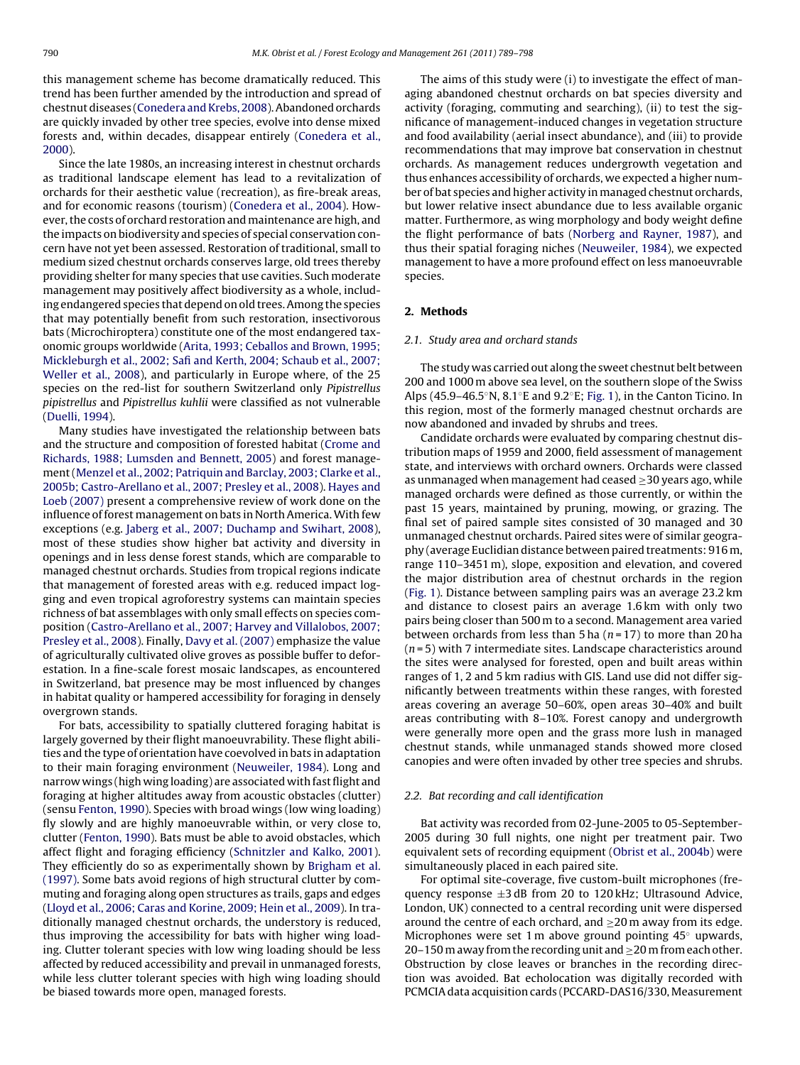<span id="page-1-0"></span>this management scheme has become dramatically reduced. This trend has been further amended by the introduction and spread of chestnut diseases [\(Conedera and Krebs, 2008\).](#page-8-0) Abandoned orchards are quickly invaded by other tree species, evolve into dense mixed forests and, within decades, disappear entirely [\(Conedera et al.,](#page-8-0) [2000\).](#page-8-0)

Since the late 1980s, an increasing interest in chestnut orchards as traditional landscape element has lead to a revitalization of orchards for their aesthetic value (recreation), as fire-break areas, and for economic reasons (tourism) [\(Conedera et al., 2004\).](#page-8-0) However, the costs of orchard restoration and maintenance are high, and the impacts on biodiversity and species of special conservation concern have not yet been assessed. Restoration of traditional, small to medium sized chestnut orchards conserves large, old trees thereby providing shelter for many species that use cavities. Such moderate management may positively affect biodiversity as a whole, including endangered species that depend on old trees. Among the species that may potentially benefit from such restoration, insectivorous bats (Microchiroptera) constitute one of the most endangered taxonomic groups worldwide ([Arita, 1993; Ceballos and Brown, 1995;](#page-8-0) [Mickleburgh et al., 2002; Safi and Kerth, 2004; Schaub et al., 2007;](#page-8-0) [Weller et al., 2008\),](#page-8-0) and particularly in Europe where, of the 25 species on the red-list for southern Switzerland only Pipistrellus pipistrellus and Pipistrellus kuhlii were classified as not vulnerable ([Duelli, 1994\).](#page-8-0)

Many studies have investigated the relationship between bats and the structure and composition of forested habitat ([Crome and](#page-8-0) [Richards, 1988; Lumsden and Bennett, 2005\)](#page-8-0) and forest management ([Menzel et al., 2002; Patriquin and Barclay, 2003; Clarke et al.,](#page-8-0) [2005b; Castro-Arellano et al., 2007; Presley et al., 2008\).](#page-8-0) [Hayes and](#page-8-0) [Loeb \(2007\)](#page-8-0) present a comprehensive review of work done on the influence of forest management on bats in North America.With few exceptions (e.g. [Jaberg et al., 2007; Duchamp and Swihart, 2008\),](#page-8-0) most of these studies show higher bat activity and diversity in openings and in less dense forest stands, which are comparable to managed chestnut orchards. Studies from tropical regions indicate that management of forested areas with e.g. reduced impact logging and even tropical agroforestry systems can maintain species richness of bat assemblages with only small effects on species composition ([Castro-Arellano et al., 2007; Harvey and Villalobos, 2007;](#page-8-0) [Presley et al., 2008\).](#page-8-0) Finally, [Davy et al. \(2007\)](#page-8-0) emphasize the value of agriculturally cultivated olive groves as possible buffer to deforestation. In a fine-scale forest mosaic landscapes, as encountered in Switzerland, bat presence may be most influenced by changes in habitat quality or hampered accessibility for foraging in densely overgrown stands.

For bats, accessibility to spatially cluttered foraging habitat is largely governed by their flight manoeuvrability. These flight abilities and the type of orientation have coevolved in bats in adaptation to their main foraging environment [\(Neuweiler, 1984\).](#page-8-0) Long and narrow wings (high wing loading) are associated with fast flight and foraging at higher altitudes away from acoustic obstacles (clutter) (sensu [Fenton, 1990\).](#page-8-0) Species with broad wings (low wing loading) fly slowly and are highly manoeuvrable within, or very close to, clutter [\(Fenton, 1990\).](#page-8-0) Bats must be able to avoid obstacles, which affect flight and foraging efficiency [\(Schnitzler and Kalko, 2001\).](#page-9-0) They efficiently do so as experimentally shown by [Brigham et al.](#page-8-0) [\(1997\). S](#page-8-0)ome bats avoid regions of high structural clutter by commuting and foraging along open structures as trails, gaps and edges ([Lloyd et al., 2006; Caras and Korine, 2009; Hein et al., 2009\).](#page-8-0) In traditionally managed chestnut orchards, the understory is reduced, thus improving the accessibility for bats with higher wing loading. Clutter tolerant species with low wing loading should be less affected by reduced accessibility and prevail in unmanaged forests, while less clutter tolerant species with high wing loading should be biased towards more open, managed forests.

The aims of this study were (i) to investigate the effect of managing abandoned chestnut orchards on bat species diversity and activity (foraging, commuting and searching), (ii) to test the significance of management-induced changes in vegetation structure and food availability (aerial insect abundance), and (iii) to provide recommendations that may improve bat conservation in chestnut orchards. As management reduces undergrowth vegetation and thus enhances accessibility of orchards, we expected a higher number of bat species and higher activity in managed chestnut orchards, but lower relative insect abundance due to less available organic matter. Furthermore, as wing morphology and body weight define the flight performance of bats ([Norberg and Rayner, 1987\),](#page-8-0) and thus their spatial foraging niches ([Neuweiler, 1984\),](#page-8-0) we expected management to have a more profound effect on less manoeuvrable species.

## **2. Methods**

#### 2.1. Study area and orchard stands

The study was carried out along the sweet chestnut belt between 200 and 1000 m above sea level, on the southern slope of the Swiss Alps (45.9–46.5◦N, 8.1◦E and 9.2◦E; [Fig. 1\),](#page-2-0) in the Canton Ticino. In this region, most of the formerly managed chestnut orchards are now abandoned and invaded by shrubs and trees.

Candidate orchards were evaluated by comparing chestnut distribution maps of 1959 and 2000, field assessment of management state, and interviews with orchard owners. Orchards were classed as unmanaged when management had ceased  $\geq$ 30 years ago, while managed orchards were defined as those currently, or within the past 15 years, maintained by pruning, mowing, or grazing. The final set of paired sample sites consisted of 30 managed and 30 unmanaged chestnut orchards. Paired sites were of similar geography (average Euclidian distance between paired treatments: 916 m, range 110–3451 m), slope, exposition and elevation, and covered the major distribution area of chestnut orchards in the region [\(Fig. 1\).](#page-2-0) Distance between sampling pairs was an average 23.2 km and distance to closest pairs an average 1.6 km with only two pairs being closer than 500 m to a second. Management area varied between orchards from less than 5 ha ( $n = 17$ ) to more than 20 ha  $(n=5)$  with 7 intermediate sites. Landscape characteristics around the sites were analysed for forested, open and built areas within ranges of 1, 2 and 5 km radius with GIS. Land use did not differ significantly between treatments within these ranges, with forested areas covering an average 50–60%, open areas 30–40% and built areas contributing with 8–10%. Forest canopy and undergrowth were generally more open and the grass more lush in managed chestnut stands, while unmanaged stands showed more closed canopies and were often invaded by other tree species and shrubs.

## 2.2. Bat recording and call identification

Bat activity was recorded from 02-June-2005 to 05-September-2005 during 30 full nights, one night per treatment pair. Two equivalent sets of recording equipment ([Obrist et al., 2004b\)](#page-9-0) were simultaneously placed in each paired site.

For optimal site-coverage, five custom-built microphones (frequency response  $\pm 3$  dB from 20 to 120 kHz; Ultrasound Advice, London, UK) connected to a central recording unit were dispersed around the centre of each orchard, and  $\geq$ 20 m away from its edge. Microphones were set 1 m above ground pointing 45◦ upwards, 20–150 m away from the recording unit and  $\geq$ 20 m from each other. Obstruction by close leaves or branches in the recording direction was avoided. Bat echolocation was digitally recorded with PCMCIA data acquisition cards (PCCARD-DAS16/330, Measurement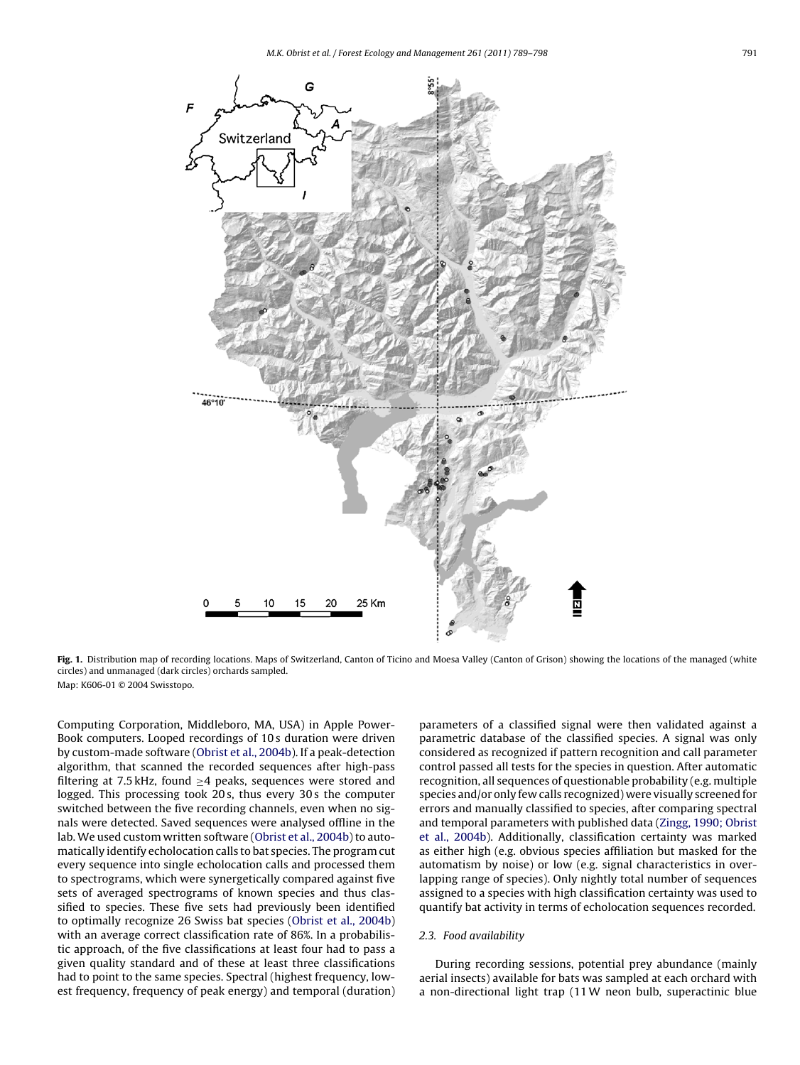<span id="page-2-0"></span>

Fig. 1. Distribution map of recording locations. Maps of Switzerland, Canton of Ticino and Moesa Valley (Canton of Grison) showing the locations of the managed (white circles) and unmanaged (dark circles) orchards sampled. Map: K606-01 © 2004 Swisstopo.

Computing Corporation, Middleboro, MA, USA) in Apple Power-Book computers. Looped recordings of 10 s duration were driven by custom-made software [\(Obrist et al., 2004b\).](#page-9-0) If a peak-detection algorithm, that scanned the recorded sequences after high-pass filtering at 7.5 kHz, found ≥4 peaks, sequences were stored and logged. This processing took 20 s, thus every 30 s the computer switched between the five recording channels, even when no signals were detected. Saved sequences were analysed offline in the lab. We used custom written software ([Obrist et al., 2004b\) t](#page-9-0)o automatically identify echolocation calls to bat species. The program cut every sequence into single echolocation calls and processed them to spectrograms, which were synergetically compared against five sets of averaged spectrograms of known species and thus classified to species. These five sets had previously been identified to optimally recognize 26 Swiss bat species [\(Obrist et al., 2004b\)](#page-9-0) with an average correct classification rate of 86%. In a probabilistic approach, of the five classifications at least four had to pass a given quality standard and of these at least three classifications had to point to the same species. Spectral (highest frequency, lowest frequency, frequency of peak energy) and temporal (duration)

parameters of a classified signal were then validated against a parametric database of the classified species. A signal was only considered as recognized if pattern recognition and call parameter control passed all tests for the species in question. After automatic recognition, all sequences of questionable probability (e.g. multiple species and/or only few calls recognized) were visually screened for errors and manually classified to species, after comparing spectral and temporal parameters with published data [\(Zingg, 1990; Obrist](#page-9-0) [et al., 2004b\).](#page-9-0) Additionally, classification certainty was marked as either high (e.g. obvious species affiliation but masked for the automatism by noise) or low (e.g. signal characteristics in overlapping range of species). Only nightly total number of sequences assigned to a species with high classification certainty was used to quantify bat activity in terms of echolocation sequences recorded.

## 2.3. Food availability

During recording sessions, potential prey abundance (mainly aerial insects) available for bats was sampled at each orchard with a non-directional light trap (11W neon bulb, superactinic blue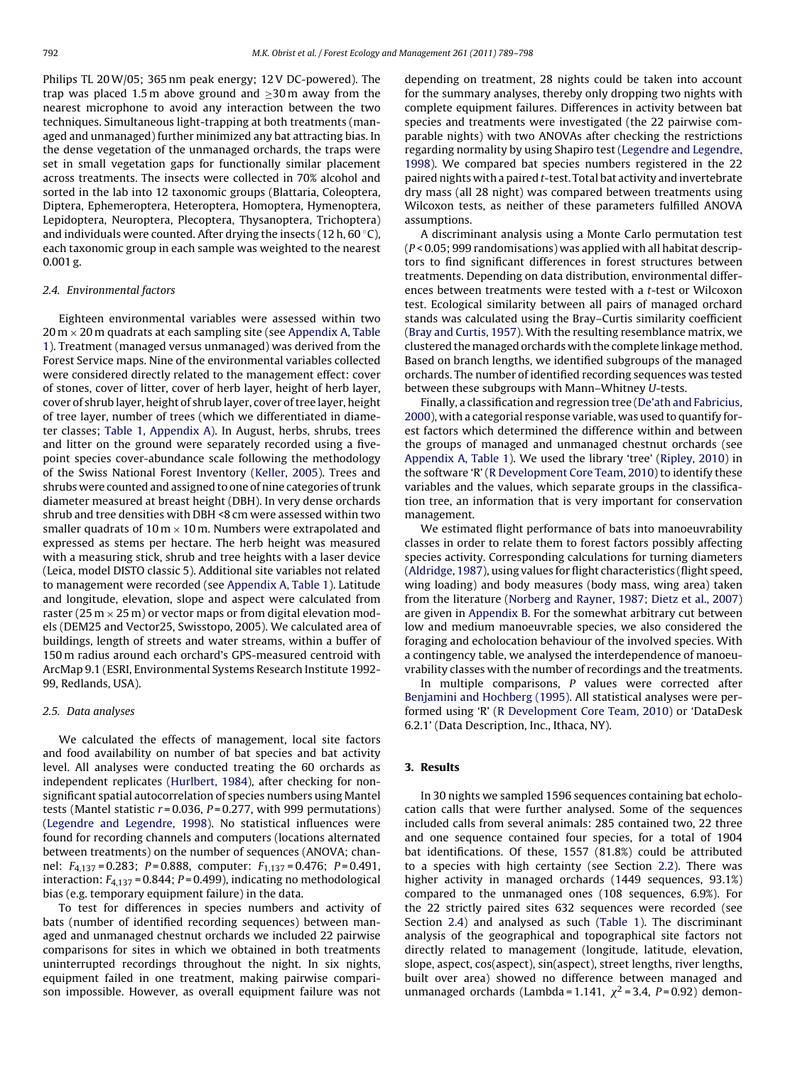Philips TL 20W/05; 365 nm peak energy; 12 V DC-powered). The trap was placed 1.5 m above ground and  $\geq$ 30 m away from the nearest microphone to avoid any interaction between the two techniques. Simultaneous light-trapping at both treatments (managed and unmanaged) further minimized any bat attracting bias. In the dense vegetation of the unmanaged orchards, the traps were set in small vegetation gaps for functionally similar placement across treatments. The insects were collected in 70% alcohol and sorted in the lab into 12 taxonomic groups (Blattaria, Coleoptera, Diptera, Ephemeroptera, Heteroptera, Homoptera, Hymenoptera, Lepidoptera, Neuroptera, Plecoptera, Thysanoptera, Trichoptera) and individuals were counted. After drying the insects (12 h,  $60^{\circ}$ C), each taxonomic group in each sample was weighted to the nearest 0.001 g.

## 2.4. Environmental factors

Eighteen environmental variables were assessed within two  $20 \text{ m} \times 20 \text{ m}$  quadrats at each sampling site (see [Appendix A, Table](#page-8-0) [1\).](#page-8-0) Treatment (managed versus unmanaged) was derived from the Forest Service maps. Nine of the environmental variables collected were considered directly related to the management effect: cover of stones, cover of litter, cover of herb layer, height of herb layer, cover of shrub layer, height of shrub layer, cover of tree layer, height of tree layer, number of trees (which we differentiated in diameter classes; [Table 1, Appendix A\)](#page-8-0). In August, herbs, shrubs, trees and litter on the ground were separately recorded using a fivepoint species cover-abundance scale following the methodology of the Swiss National Forest Inventory ([Keller, 2005\).](#page-8-0) Trees and shrubs were counted and assigned to one of nine categories of trunk diameter measured at breast height (DBH). In very dense orchards shrub and tree densities with DBH <8 cm were assessed within two smaller quadrats of  $10 \text{ m} \times 10 \text{ m}$ . Numbers were extrapolated and expressed as stems per hectare. The herb height was measured with a measuring stick, shrub and tree heights with a laser device (Leica, model DISTO classic 5). Additional site variables not related to management were recorded (see [Appendix A, Table 1\).](#page-8-0) Latitude and longitude, elevation, slope and aspect were calculated from raster (25 m  $\times$  25 m) or vector maps or from digital elevation models (DEM25 and Vector25, Swisstopo, 2005). We calculated area of buildings, length of streets and water streams, within a buffer of 150 m radius around each orchard's GPS-measured centroid with ArcMap 9.1 (ESRI, Environmental Systems Research Institute 1992- 99, Redlands, USA).

## 2.5. Data analyses

We calculated the effects of management, local site factors and food availability on number of bat species and bat activity level. All analyses were conducted treating the 60 orchards as independent replicates [\(Hurlbert, 1984\),](#page-8-0) after checking for nonsignificant spatial autocorrelation of species numbers using Mantel tests (Mantel statistic  $r = 0.036$ ,  $P = 0.277$ , with 999 permutations) ([Legendre and Legendre, 1998\).](#page-8-0) No statistical influences were found for recording channels and computers (locations alternated between treatments) on the number of sequences (ANOVA; channel:  $F_{4,137} = 0.283$ ;  $P = 0.888$ , computer:  $F_{1,137} = 0.476$ ;  $P = 0.491$ , interaction:  $F_{4,137}$  = 0.844;  $P$  = 0.499), indicating no methodological bias (e.g. temporary equipment failure) in the data.

To test for differences in species numbers and activity of bats (number of identified recording sequences) between managed and unmanaged chestnut orchards we included 22 pairwise comparisons for sites in which we obtained in both treatments uninterrupted recordings throughout the night. In six nights, equipment failed in one treatment, making pairwise comparison impossible. However, as overall equipment failure was not

depending on treatment, 28 nights could be taken into account for the summary analyses, thereby only dropping two nights with complete equipment failures. Differences in activity between bat species and treatments were investigated (the 22 pairwise comparable nights) with two ANOVAs after checking the restrictions regarding normality by using Shapiro test [\(Legendre and Legendre,](#page-8-0) [1998\).](#page-8-0) We compared bat species numbers registered in the 22 paired nights with a paired t-test. Total bat activity and invertebrate dry mass (all 28 night) was compared between treatments using Wilcoxon tests, as neither of these parameters fulfilled ANOVA assumptions.

A discriminant analysis using a Monte Carlo permutation test (P < 0.05; 999 randomisations) was applied with all habitat descriptors to find significant differences in forest structures between treatments. Depending on data distribution, environmental differences between treatments were tested with a t-test or Wilcoxon test. Ecological similarity between all pairs of managed orchard stands was calculated using the Bray–Curtis similarity coefficient [\(Bray and Curtis, 1957\).](#page-8-0) With the resulting resemblance matrix, we clustered the managed orchards with the complete linkage method. Based on branch lengths, we identified subgroups of the managed orchards. The number of identified recording sequences was tested between these subgroups with Mann–Whitney U-tests.

Finally, a classification and regression tree [\(De'ath and Fabricius,](#page-8-0) [2000\),](#page-8-0) with a categorial response variable, was used to quantify forest factors which determined the difference within and between the groups of managed and unmanaged chestnut orchards (see [Appendix A, Table 1\).](#page-8-0) We used the library 'tree' ([Ripley, 2010\)](#page-9-0) in the software 'R' [\(R Development Core Team, 2010\) t](#page-9-0)o identify these variables and the values, which separate groups in the classification tree, an information that is very important for conservation management.

We estimated flight performance of bats into manoeuvrability classes in order to relate them to forest factors possibly affecting species activity. Corresponding calculations for turning diameters [\(Aldridge, 1987\),](#page-8-0) using values for flight characteristics (flight speed, wing loading) and body measures (body mass, wing area) taken from the literature ([Norberg and Rayner, 1987; Dietz et al., 2007\)](#page-8-0) are given in [Appendix B. F](#page-8-0)or the somewhat arbitrary cut between low and medium manoeuvrable species, we also considered the foraging and echolocation behaviour of the involved species. With a contingency table, we analysed the interdependence of manoeuvrability classes with the number of recordings and the treatments.

In multiple comparisons, P values were corrected after [Benjamini and Hochberg \(1995\). A](#page-8-0)ll statistical analyses were performed using 'R' ([R Development Core Team, 2010\)](#page-9-0) or 'DataDesk 6.2.1' (Data Description, Inc., Ithaca, NY).

## **3. Results**

In 30 nights we sampled 1596 sequences containing bat echolocation calls that were further analysed. Some of the sequences included calls from several animals: 285 contained two, 22 three and one sequence contained four species, for a total of 1904 bat identifications. Of these, 1557 (81.8%) could be attributed to a species with high certainty (see Section [2.2\).](#page-1-0) There was higher activity in managed orchards (1449 sequences, 93.1%) compared to the unmanaged ones (108 sequences, 6.9%). For the 22 strictly paired sites 632 sequences were recorded (see Section 2.4) and analysed as such ([Table 1\)](#page-4-0). The discriminant analysis of the geographical and topographical site factors not directly related to management (longitude, latitude, elevation, slope, aspect, cos(aspect), sin(aspect), street lengths, river lengths, built over area) showed no difference between managed and unmanaged orchards (Lambda = 1.141,  $\chi^2$  = 3.4, P = 0.92) demon-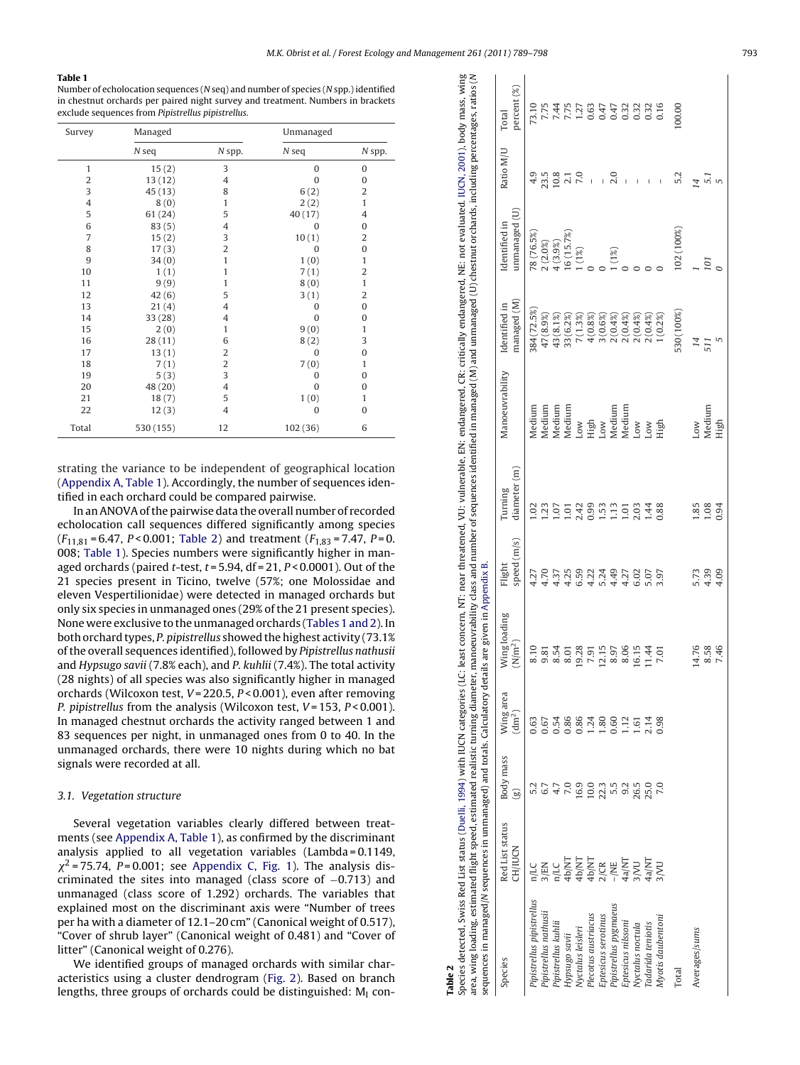#### <span id="page-4-0"></span>**Table 1**

Number of echolocation sequences ( N seq) and number of species ( N spp.) identified in chestnut orchards per paired night survey and treatment. Numbers in brackets exclude sequences from Pipistrellus pipistrellus.

| Survey         | Managed   |                | Unmanaged    |                |  |
|----------------|-----------|----------------|--------------|----------------|--|
|                | $N$ seq   | N spp.         | $N$ seq      | N spp.         |  |
| $\mathbf{1}$   | 15(2)     | 3              | $\mathbf{0}$ | $\mathbf{0}$   |  |
| 2              | 13(12)    | 4              | 0            | $\mathbf{0}$   |  |
| 3              | 45(13)    | 8              | 6(2)         | $\overline{2}$ |  |
| $\overline{4}$ | 8(0)      | 1              | 2(2)         | $\mathbf{1}$   |  |
| 5              | 61(24)    | 5              | 40(17)       | 4              |  |
| 6              | 83(5)     | $\overline{4}$ | $\Omega$     | $\mathbf{0}$   |  |
| 7              | 15(2)     | 3              | 10(1)        | 2              |  |
| 8              | 17(3)     | $\overline{2}$ | $\mathbf{0}$ | $\bf{0}$       |  |
| 9              | 34(0)     | $\mathbf{1}$   | 1(0)         | 1              |  |
| 10             | 1(1)      | 1              | 7(1)         | $\overline{2}$ |  |
| 11             | 9(9)      | 1              | 8(0)         | $\mathbf{1}$   |  |
| 12             | 42(6)     | 5              | 3(1)         | $\overline{2}$ |  |
| 13             | 21(4)     | $\overline{4}$ | 0            | $\bf{0}$       |  |
| 14             | 33(28)    | $\overline{4}$ | 0            | $\mathbf{0}$   |  |
| 15             | 2(0)      | 1              | 9(0)         | 1              |  |
| 16             | 28(11)    | 6              | 8(2)         | 3              |  |
| 17             | 13(1)     | $\overline{2}$ | $\mathbf{0}$ | $\mathbf{0}$   |  |
| 18             | 7(1)      | $\overline{c}$ | 7(0)         | 1              |  |
| 19             | 5(3)      | 3              | $\Omega$     | $\mathbf{0}$   |  |
| 20             | 48 (20)   | $\overline{4}$ | $\Omega$     | $\mathbf{0}$   |  |
| 21             | 18(7)     | 5              | 1(0)         | 1              |  |
| 22             | 12(3)     | $\overline{4}$ | $\Omega$     | $\Omega$       |  |
| Total          | 530 (155) | 12             | 102 (36)     | 6              |  |

strating the variance to be independent of geographical location ([Appendix A, Table 1\).](#page-8-0) Accordingly, the number of sequences identified in each orchard could be compared pairwise.

In an ANOVA of the pairwise data the overall number of recorded echolocation call sequences differed significantly among species  $(F_{11,81} = 6.47, P < 0.001$ ; Table 2) and treatment  $(F_{1,83} = 7.47, P = 0.$ 008; Table 1). Species numbers were significantly higher in managed orchards (paired  $t$ -test,  $t = 5.94$ , df = 21,  $P < 0.0001$ ). Out of the 21 species present in Ticino, twelve (57%; one Molossidae and eleven Vespertilionidae) were detected in managed orchards but only six species in unmanaged ones (29% of the 21 present species). None were exclusive to the unmanaged orchards (Tables 1 and 2). In both orchard types, P. pipistrellus showed the highest activity (73.1% of the overall sequences identified), followed by Pipistrellus nathusii and Hypsugo savii (7.8% each), and P. kuhlii (7.4%). The total activity (28 nights) of all species was also significantly higher in managed orchards (Wilcoxon test, V = 220.5, P < 0.001), even after removing P. pipistrellus from the analysis (Wilcoxon test, V=153, P<0.001). In managed chestnut orchards the activity ranged between 1 and 83 sequences per night, in unmanaged ones from 0 to 40. In the unmanaged orchards, there were 10 nights during which no bat signals were recorded at all.

## 3.1. Vegetation structure

Several vegetation variables clearly differed between treatments (see [Appendix A, Table 1\),](#page-8-0) as confirmed by the discriminant analysis applied to all vegetation variables (Lambda = 0.1149,  $\chi^2$  = 75.74, P=0.001; see [Appendix C, Fig. 1\).](#page-8-0) The analysis discriminated the sites into managed (class score of −0.713) and unmanaged (class score of 1.292) orchards. The variables that explained most on the discriminant axis were "Number of trees per ha with a diameter of 12.1–20 cm" (Canonical weight of 0.517), "Cover of shrub layer" (Canonical weight of 0.481) and "Cover of litter" (Canonical weight of 0.276).

We identified groups of managed orchards with similar characteristics using a cluster dendrogram [\(Fig. 2\).](#page-5-0) Based on branch lengths, three groups of orchards could be distinguished:  $\mathsf{M}_{\mathsf{I}}$  con-

**Table 2**

| Species detected, Swiss Red List status (Duelli, 1994) with IUCN categories (LC: least concern, NT: near threatened, VU: vulnerable, EN: endangered, CR: critically endangered, NE: not evaluated. IUCN, 2001), body mass, win<br>sequences in managed/M sequences in unmanaged) and totals. Calculatory details are given in Appendix B.<br>area, wing loading, estimated flight speed, estimated realistic turning diameter, |                                                                      |                           |                                 |                           |                       |                         | manoeuvrability class and number of sequences identified in managed (M) and unmanaged (U) chestnut orchards, including percentages, ratios (N |                              |                               |           |                      |
|--------------------------------------------------------------------------------------------------------------------------------------------------------------------------------------------------------------------------------------------------------------------------------------------------------------------------------------------------------------------------------------------------------------------------------|----------------------------------------------------------------------|---------------------------|---------------------------------|---------------------------|-----------------------|-------------------------|-----------------------------------------------------------------------------------------------------------------------------------------------|------------------------------|-------------------------------|-----------|----------------------|
| Species                                                                                                                                                                                                                                                                                                                                                                                                                        | Red List status<br><b>CH/IUCN</b>                                    | Body mass<br>$\mathbf{e}$ | Wing area<br>(dm <sup>2</sup> ) | Wing loading<br>$(N/m^2)$ | speed (m/s)<br>Flight | diameter (m)<br>Turning | Manoeuvrability                                                                                                                               | managed (M)<br>Identified in | unnanaged(U)<br>Identified in | Ratio M/U | percent (%)<br>Total |
| Pipistrellus pipistrellus                                                                                                                                                                                                                                                                                                                                                                                                      | n/LC                                                                 |                           | 0.63                            | 8.10                      | 4.27                  | 3                       | Medium                                                                                                                                        | 384 (72.5%)                  | 78 (76.5%)                    |           | 73.10                |
| Pipistrellus nathusii                                                                                                                                                                                                                                                                                                                                                                                                          |                                                                      |                           | 0.67                            | 9.81                      | 4.70                  | 23                      | Medium                                                                                                                                        | 47 (8.9%)                    | 2(2.0%)                       | 23.5      |                      |
| Pipistrellus kuhlii                                                                                                                                                                                                                                                                                                                                                                                                            |                                                                      |                           | 0.54                            | 8.54                      | 4.37                  | .07                     | Medium                                                                                                                                        | 43 (8.1%)                    | 4(3.9%)                       | 10.8      | 7.44                 |
| Hypsugo savii                                                                                                                                                                                                                                                                                                                                                                                                                  |                                                                      | 7.0                       | 0.86                            | 8.01                      | 4.25                  | 101                     | Medium                                                                                                                                        | 33 (6.2%)                    | $16(15.7\%)$                  | 2.1       | 7.75                 |
| Nyctalus leisleri                                                                                                                                                                                                                                                                                                                                                                                                              |                                                                      | 16.9                      | 0.86                            | 19.28                     | 6.59                  | 2.42                    | Low                                                                                                                                           | 7(1.3%)                      | 1(1%)                         |           | 1.27                 |
| Plecotus austriacus                                                                                                                                                                                                                                                                                                                                                                                                            |                                                                      | 10.0                      | 1.24                            | 7.91                      | 4.22                  | 0.99                    | High                                                                                                                                          |                              |                               |           | 0.63<br>0.47         |
| Eptesicus serotinus                                                                                                                                                                                                                                                                                                                                                                                                            |                                                                      | 22.3                      | .80                             | 12.15                     | 5.24                  | 1.53                    | LOW                                                                                                                                           | $4(0.8%)$<br>3(0.6%)         |                               |           |                      |
| Pipistrellus pygmaeus                                                                                                                                                                                                                                                                                                                                                                                                          | S/EN<br>TALAMAT HANT<br>44 AD/NT<br>44 AD/NT<br>44 AD/NT<br>44 AD/NT |                           | 0.60                            | 8.97                      | 4.49                  | $\frac{13}{2}$          | Medium                                                                                                                                        | 2(0.4%)                      | $(1\%)$                       | 2.0       | 0.47                 |
| Eptesicus nilssoni                                                                                                                                                                                                                                                                                                                                                                                                             |                                                                      | $5.5$<br>9.2              | 1.12                            | 8.06                      | 4.27                  | 1.01                    | Medium                                                                                                                                        | 2(0.4%)                      |                               |           | 0.32                 |
| Nyctalus noctula                                                                                                                                                                                                                                                                                                                                                                                                               |                                                                      | 26.5                      | 1.61                            | 16.15                     | 6.02                  | 2.03                    | <b>NOT</b>                                                                                                                                    |                              |                               |           | 0.32                 |
| l'adarida teniotis                                                                                                                                                                                                                                                                                                                                                                                                             |                                                                      | 25.0                      | 2.14                            | 1.44                      | 5.07                  | 1.44                    | <b>NOT</b>                                                                                                                                    | $2(0.4%)$<br>$2(0.4%)$       |                               |           | 0.32                 |
| Myotis daubentoni                                                                                                                                                                                                                                                                                                                                                                                                              | <b>D</b>                                                             |                           | 0.98                            | 7.01                      | 3.97                  | 0.88                    | High                                                                                                                                          | 1(0.2%)                      |                               |           | 0.16                 |
| Total                                                                                                                                                                                                                                                                                                                                                                                                                          |                                                                      |                           |                                 |                           |                       |                         |                                                                                                                                               | 530 (100%)                   | 102(100%)                     |           | 100.00               |
| Averages/sums                                                                                                                                                                                                                                                                                                                                                                                                                  |                                                                      |                           |                                 | 14.76                     | 5.73                  | 1.85                    | Low                                                                                                                                           | 14                           |                               |           |                      |
|                                                                                                                                                                                                                                                                                                                                                                                                                                |                                                                      |                           |                                 | 8.58                      | 4.39                  | 1.08                    | Medium                                                                                                                                        | 511                          | 101                           | 5.        |                      |
|                                                                                                                                                                                                                                                                                                                                                                                                                                |                                                                      |                           |                                 | 7.46                      | 4.09                  | 0.94                    | High                                                                                                                                          |                              |                               |           |                      |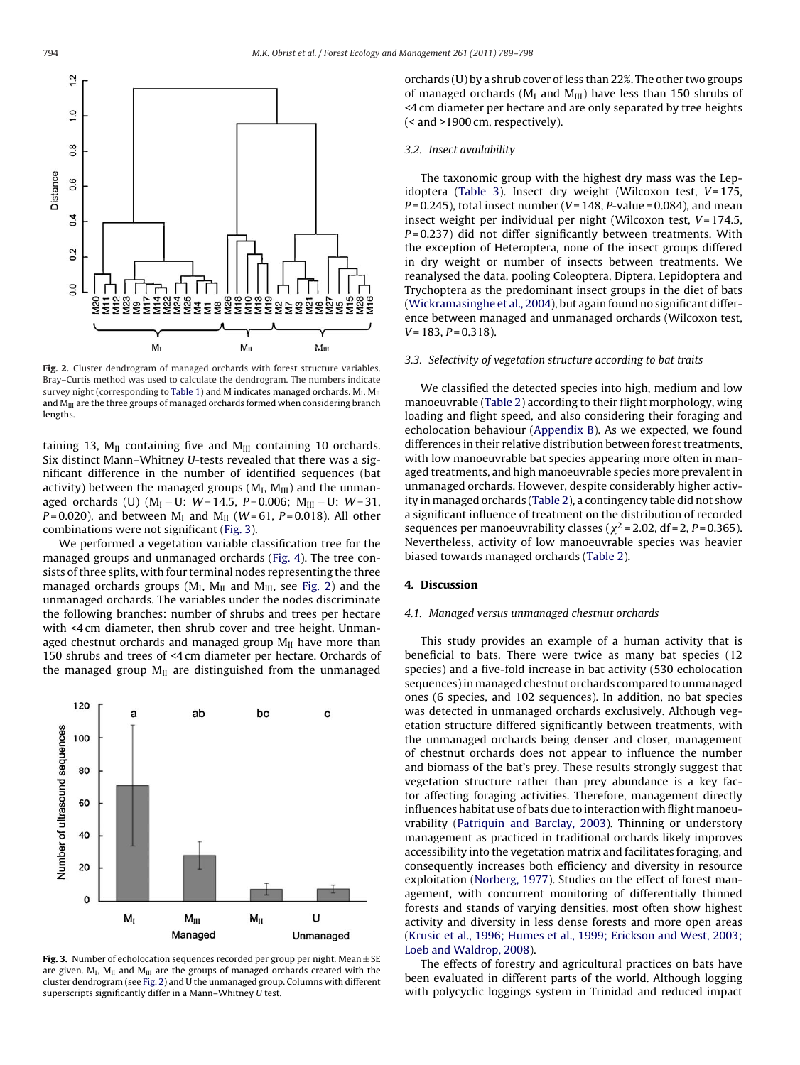<span id="page-5-0"></span>

**Fig. 2.** Cluster dendrogram of managed orchards with forest structure variables. Bray–Curtis method was used to calculate the dendrogram. The numbers indicate survey night (corresponding to [Table 1\) a](#page-4-0)nd M indicates managed orchards.  $M<sub>1</sub>$ ,  $M<sub>II</sub>$ and  $M<sub>III</sub>$  are the three groups of managed orchards formed when considering branch lengths.

taining 13,  $M_{II}$  containing five and  $M_{III}$  containing 10 orchards. Six distinct Mann–Whitney U-tests revealed that there was a significant difference in the number of identified sequences (bat activity) between the managed groups  $(M_I, M_{III})$  and the unmanaged orchards (U)  $(M_I - U: W = 14.5, P = 0.006; M_{III} - U: W = 31,$  $P = 0.020$ ), and between M<sub>I</sub> and M<sub>II</sub> (*W* = 61, *P* = 0.018). All other combinations were not significant (Fig. 3).

We performed a vegetation variable classification tree for the managed groups and unmanaged orchards [\(Fig. 4\).](#page-6-0) The tree consists of three splits, with four terminal nodes representing the three managed orchards groups ( $M_I$ ,  $M_{II}$  and  $M_{III}$ , see Fig. 2) and the unmanaged orchards. The variables under the nodes discriminate the following branches: number of shrubs and trees per hectare with <4 cm diameter, then shrub cover and tree height. Unmanaged chestnut orchards and managed group  $M_{II}$  have more than 150 shrubs and trees of <4 cm diameter per hectare. Orchards of the managed group  $M_{II}$  are distinguished from the unmanaged



**Fig. 3.** Number of echolocation sequences recorded per group per night. Mean  $\pm$  SE are given.  $M<sub>U</sub>$ ,  $M<sub>II</sub>$  and  $M<sub>III</sub>$  are the groups of managed orchards created with the cluster dendrogram (see Fig. 2) and U the unmanaged group. Columns with different superscripts significantly differ in a Mann–Whitney U test.

orchards (U) by a shrub cover of less than 22%. The other two groups of managed orchards ( $M<sub>I</sub>$  and  $M<sub>III</sub>$ ) have less than 150 shrubs of <4 cm diameter per hectare and are only separated by tree heights (< and >1900 cm, respectively).

#### 3.2. Insect availability

The taxonomic group with the highest dry mass was the Lep-idoptera ([Table 3\)](#page-6-0). Insect dry weight (Wilcoxon test,  $V = 175$ ,  $P = 0.245$ ), total insect number ( $V = 148$ ,  $P$ -value = 0.084), and mean insect weight per individual per night (Wilcoxon test,  $V = 174.5$ ,  $P = 0.237$ ) did not differ significantly between treatments. With the exception of Heteroptera, none of the insect groups differed in dry weight or number of insects between treatments. We reanalysed the data, pooling Coleoptera, Diptera, Lepidoptera and Trychoptera as the predominant insect groups in the diet of bats [\(Wickramasinghe et al., 2004\),](#page-9-0) but again found no significant difference between managed and unmanaged orchards (Wilcoxon test,  $V = 183$ ,  $P = 0.318$ ).

#### 3.3. Selectivity of vegetation structure according to bat traits

We classified the detected species into high, medium and low manoeuvrable [\(Table 2\) a](#page-4-0)ccording to their flight morphology, wing loading and flight speed, and also considering their foraging and echolocation behaviour ([Appendix B\).](#page-8-0) As we expected, we found differences in their relative distribution between forest treatments, with low manoeuvrable bat species appearing more often in managed treatments, and high manoeuvrable species more prevalent in unmanaged orchards. However, despite considerably higher activity in managed orchards ([Table 2\),](#page-4-0) a contingency table did not show a significant influence of treatment on the distribution of recorded sequences per manoeuvrability classes ( $\chi^2$  = 2.02, df = 2, P = 0.365). Nevertheless, activity of low manoeuvrable species was heavier biased towards managed orchards [\(Table 2\).](#page-4-0)

## **4. Discussion**

#### 4.1. Managed versus unmanaged chestnut orchards

This study provides an example of a human activity that is beneficial to bats. There were twice as many bat species (12 species) and a five-fold increase in bat activity (530 echolocation sequences) in managed chestnut orchards compared to unmanaged ones (6 species, and 102 sequences). In addition, no bat species was detected in unmanaged orchards exclusively. Although vegetation structure differed significantly between treatments, with the unmanaged orchards being denser and closer, management of chestnut orchards does not appear to influence the number and biomass of the bat's prey. These results strongly suggest that vegetation structure rather than prey abundance is a key factor affecting foraging activities. Therefore, management directly influences habitat use of bats due to interaction with flight manoeuvrability ([Patriquin and Barclay, 2003\).](#page-9-0) Thinning or understory management as practiced in traditional orchards likely improves accessibility into the vegetation matrix and facilitates foraging, and consequently increases both efficiency and diversity in resource exploitation [\(Norberg, 1977\).](#page-8-0) Studies on the effect of forest management, with concurrent monitoring of differentially thinned forests and stands of varying densities, most often show highest activity and diversity in less dense forests and more open areas [\(Krusic et al., 1996; Humes et al., 1999; Erickson and West, 2003;](#page-8-0) [Loeb and Waldrop, 2008\).](#page-8-0)

The effects of forestry and agricultural practices on bats have been evaluated in different parts of the world. Although logging with polycyclic loggings system in Trinidad and reduced impact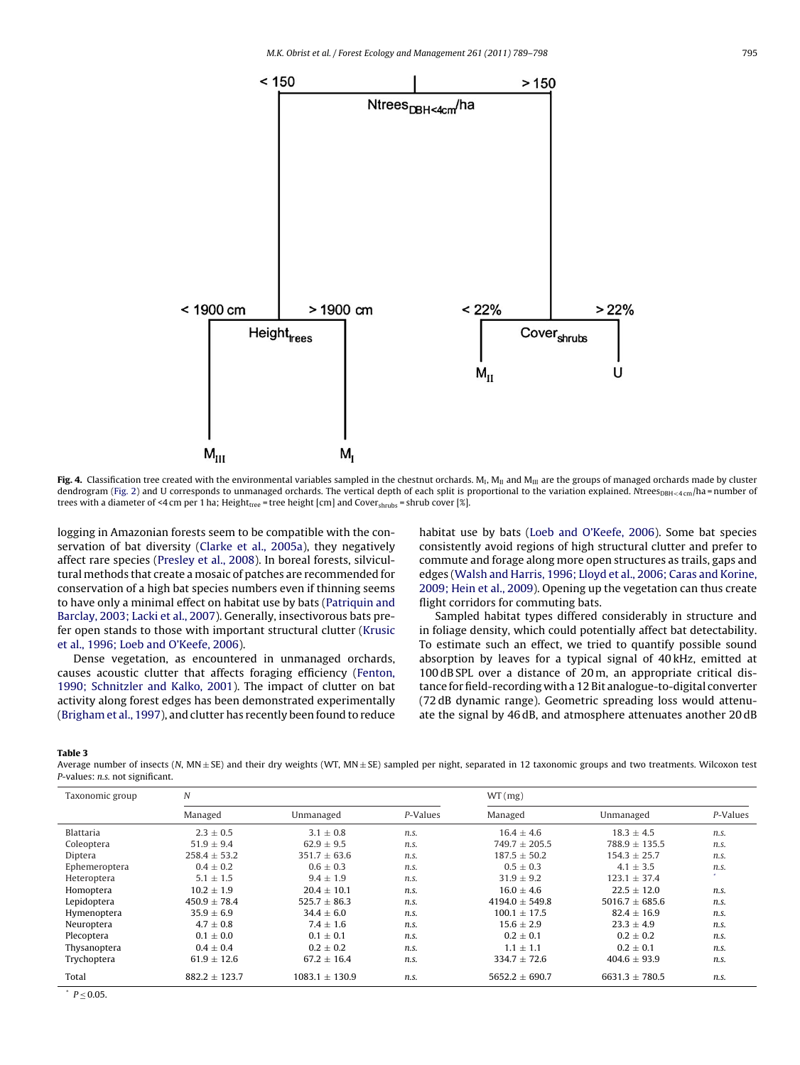<span id="page-6-0"></span>

Fig. 4. Classification tree created with the environmental variables sampled in the chestnut orchards. M<sub>1</sub>, M<sub>II</sub> and M<sub>III</sub> are the groups of managed orchards made by cluster dendrogram [\(Fig. 2\)](#page-5-0) and U corresponds to unmanaged orchards. The vertical depth of each split is proportional to the variation explained. Ntrees<sub>DBH<4 cm</sub>/ha = number of trees with a diameter of <4 cm per 1 ha; Height<sub>tree</sub> = tree height [cm] and Cover<sub>shrubs</sub> = shrub cover [%].

logging in Amazonian forests seem to be compatible with the conservation of bat diversity ([Clarke et al., 2005a\),](#page-8-0) they negatively affect rare species [\(Presley et al., 2008\).](#page-9-0) In boreal forests, silvicultural methods that create a mosaic of patches are recommended for conservation of a high bat species numbers even if thinning seems to have only a minimal effect on habitat use by bats ([Patriquin and](#page-9-0) [Barclay, 2003; Lacki et al., 2007\).](#page-9-0) Generally, insectivorous bats prefer open stands to those with important structural clutter [\(Krusic](#page-8-0) [et al., 1996; Loeb and O'Keefe, 2006\).](#page-8-0)

Dense vegetation, as encountered in unmanaged orchards, causes acoustic clutter that affects foraging efficiency ([Fenton,](#page-8-0) [1990; Schnitzler and Kalko, 2001\).](#page-8-0) The impact of clutter on bat activity along forest edges has been demonstrated experimentally ([Brigham et al., 1997\),](#page-8-0) and clutter has recently been found to reduce habitat use by bats ([Loeb and O'Keefe, 2006\).](#page-8-0) Some bat species consistently avoid regions of high structural clutter and prefer to commute and forage along more open structures as trails, gaps and edges ([Walsh and Harris, 1996; Lloyd et al., 2006; Caras and Korine,](#page-9-0) [2009; Hein et al., 2009\).](#page-9-0) Opening up the vegetation can thus create flight corridors for commuting bats.

Sampled habitat types differed considerably in structure and in foliage density, which could potentially affect bat detectability. To estimate such an effect, we tried to quantify possible sound absorption by leaves for a typical signal of 40 kHz, emitted at 100 dB SPL over a distance of 20 m, an appropriate critical distance for field-recording with a 12 Bit analogue-to-digital converter (72 dB dynamic range). Geometric spreading loss would attenuate the signal by 46 dB, and atmosphere attenuates another 20 dB

**Table 3**

Average number of insects (N, MN ± SE) and their dry weights (WT, MN ± SE) sampled per night, separated in 12 taxonomic groups and two treatments. Wilcoxon test P-values: n.s. not significant.

| Taxonomic group | N                |                    |          | WT(mg)             |                    |          |
|-----------------|------------------|--------------------|----------|--------------------|--------------------|----------|
|                 | Managed          | Unmanaged          | P-Values | Managed            | Unmanaged          | P-Values |
| Blattaria       | $2.3 + 0.5$      | $3.1 + 0.8$        | n.s.     | $16.4 + 4.6$       | $18.3 + 4.5$       | n.s.     |
| Coleoptera      | $51.9 \pm 9.4$   | $62.9 \pm 9.5$     | n.s.     | $749.7 + 205.5$    | $788.9 \pm 135.5$  | n.s.     |
| Diptera         | $258.4 \pm 53.2$ | $351.7 \pm 63.6$   | n.s.     | $187.5 \pm 50.2$   | $154.3 \pm 25.7$   | n.s.     |
| Ephemeroptera   | $0.4 \pm 0.2$    | $0.6 \pm 0.3$      | n.s.     | $0.5 + 0.3$        | $4.1 + 3.5$        | n.s.     |
| Heteroptera     | $5.1 \pm 1.5$    | $9.4 + 1.9$        | n.s.     | $31.9 + 9.2$       | $123.1 + 37.4$     | ×.       |
| Homoptera       | $10.2 + 1.9$     | $20.4 + 10.1$      | n.s.     | $16.0 + 4.6$       | $22.5 + 12.0$      | n.s.     |
| Lepidoptera     | $450.9 + 78.4$   | $525.7 + 86.3$     | n.s.     | $4194.0 + 549.8$   | $5016.7 + 685.6$   | n.s.     |
| Hymenoptera     | $35.9 + 6.9$     | $34.4 + 6.0$       | n.s.     | $100.1 + 17.5$     | $82.4 + 16.9$      | n.s.     |
| Neuroptera      | $4.7 \pm 0.8$    | $7.4 \pm 1.6$      | n.s.     | $15.6 \pm 2.9$     | $23.3 \pm 4.9$     | n.s.     |
| Plecoptera      | $0.1 \pm 0.0$    | $0.1 \pm 0.1$      | n.s.     | $0.2 \pm 0.1$      | $0.2 \pm 0.2$      | n.s.     |
| Thysanoptera    | $0.4 \pm 0.4$    | $0.2 + 0.2$        | n.s.     | $1.1 \pm 1.1$      | $0.2 + 0.1$        | n.s.     |
| Trychoptera     | $61.9 + 12.6$    | $67.2 + 16.4$      | n.s.     | $334.7 + 72.6$     | $404.6 + 93.9$     | n.s.     |
| Total           | $882.2 + 123.7$  | $1083.1 \pm 130.9$ | n.s.     | $5652.2 \pm 690.7$ | $6631.3 \pm 780.5$ | n.s.     |

 $p < 0.05$ .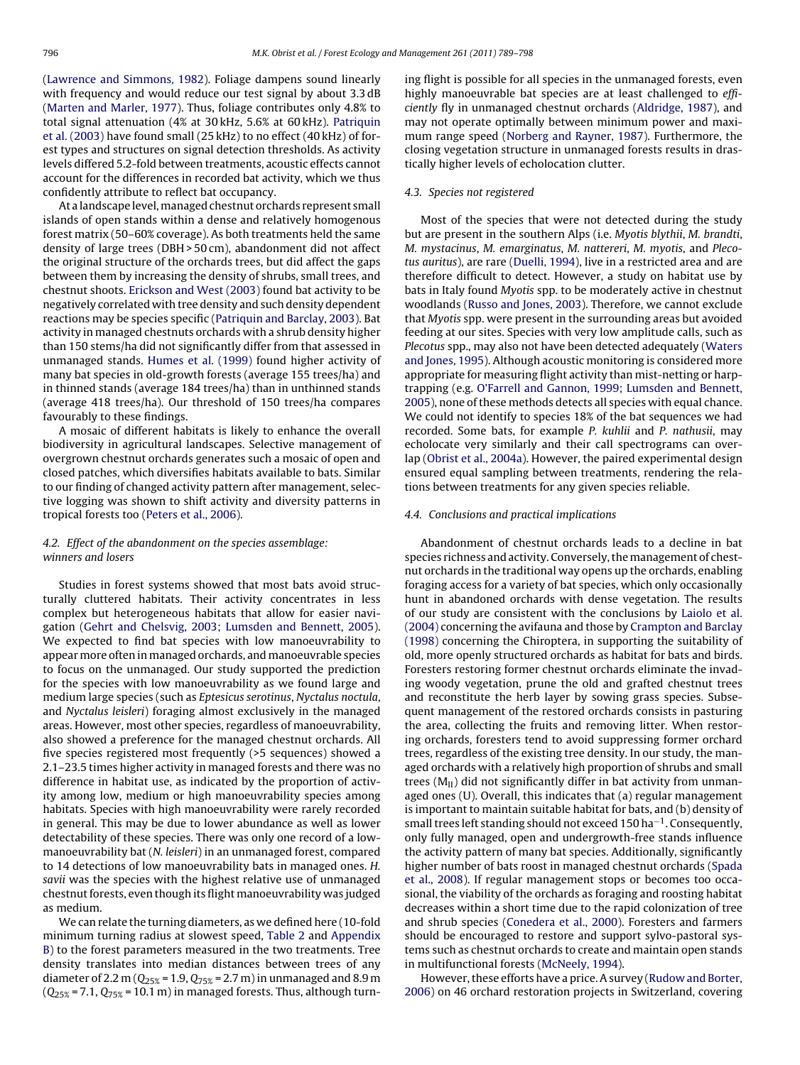([Lawrence and Simmons, 1982\).](#page-8-0) Foliage dampens sound linearly with frequency and would reduce our test signal by about 3.3 dB ([Marten and Marler, 1977\).](#page-8-0) Thus, foliage contributes only 4.8% to total signal attenuation (4% at 30 kHz, 5.6% at 60 kHz). [Patriquin](#page-9-0) [et al. \(2003\)](#page-9-0) have found small (25 kHz) to no effect (40 kHz) of forest types and structures on signal detection thresholds. As activity levels differed 5.2-fold between treatments, acoustic effects cannot account for the differences in recorded bat activity, which we thus confidently attribute to reflect bat occupancy.

At a landscape level,managed chestnut orchards represent small islands of open stands within a dense and relatively homogenous forest matrix (50–60% coverage). As both treatments held the same density of large trees (DBH > 50 cm), abandonment did not affect the original structure of the orchards trees, but did affect the gaps between them by increasing the density of shrubs, small trees, and chestnut shoots. [Erickson and West \(2003\)](#page-8-0) found bat activity to be negatively correlated with tree density and such density dependent reactions may be species specific ([Patriquin and Barclay, 2003\).](#page-9-0) Bat activity in managed chestnuts orchards with a shrub density higher than 150 stems/ha did not significantly differ from that assessed in unmanaged stands. [Humes et al. \(1999\)](#page-8-0) found higher activity of many bat species in old-growth forests (average 155 trees/ha) and in thinned stands (average 184 trees/ha) than in unthinned stands (average 418 trees/ha). Our threshold of 150 trees/ha compares favourably to these findings.

A mosaic of different habitats is likely to enhance the overall biodiversity in agricultural landscapes. Selective management of overgrown chestnut orchards generates such a mosaic of open and closed patches, which diversifies habitats available to bats. Similar to our finding of changed activity pattern after management, selective logging was shown to shift activity and diversity patterns in tropical forests too ([Peters et al., 2006\).](#page-9-0)

4.2. Effect of the abandonment on the species assemblage: winners and losers

Studies in forest systems showed that most bats avoid structurally cluttered habitats. Their activity concentrates in less complex but heterogeneous habitats that allow for easier navigation [\(Gehrt and Chelsvig, 2003; Lumsden and Bennett, 2005\).](#page-8-0) We expected to find bat species with low manoeuvrability to appear more often in managed orchards, and manoeuvrable species to focus on the unmanaged. Our study supported the prediction for the species with low manoeuvrability as we found large and medium large species (such as Eptesicus serotinus, Nyctalus noctula, and Nyctalus leisleri) foraging almost exclusively in the managed areas. However, most other species, regardless of manoeuvrability, also showed a preference for the managed chestnut orchards. All five species registered most frequently (>5 sequences) showed a 2.1–23.5 times higher activity in managed forests and there was no difference in habitat use, as indicated by the proportion of activity among low, medium or high manoeuvrability species among habitats. Species with high manoeuvrability were rarely recorded in general. This may be due to lower abundance as well as lower detectability of these species. There was only one record of a lowmanoeuvrability bat (N. leisleri) in an unmanaged forest, compared to 14 detections of low manoeuvrability bats in managed ones. H. savii was the species with the highest relative use of unmanaged chestnut forests, even though its flight manoeuvrability was judged as medium.

We can relate the turning diameters, as we defined here (10-fold minimum turning radius at slowest speed, [Table 2](#page-4-0) and [Appendix](#page-8-0) [B\)](#page-8-0) to the forest parameters measured in the two treatments. Tree density translates into median distances between trees of any diameter of 2.2 m ( $Q_{25\%}$  = 1.9,  $Q_{75\%}$  = 2.7 m) in unmanaged and 8.9 m  $(Q_{25\%} = 7.1, Q_{75\%} = 10.1 \text{ m})$  in managed forests. Thus, although turning flight is possible for all species in the unmanaged forests, even highly manoeuvrable bat species are at least challenged to efficiently fly in unmanaged chestnut orchards [\(Aldridge, 1987\),](#page-8-0) and may not operate optimally between minimum power and maximum range speed [\(Norberg and Rayner, 1987\).](#page-8-0) Furthermore, the closing vegetation structure in unmanaged forests results in drastically higher levels of echolocation clutter.

## 4.3. Species not registered

Most of the species that were not detected during the study but are present in the southern Alps (i.e. Myotis blythii, M. brandti, M. mystacinus, M. emarginatus, M. nattereri, M. myotis, and Plecotus auritus), are rare [\(Duelli, 1994\),](#page-8-0) live in a restricted area and are therefore difficult to detect. However, a study on habitat use by bats in Italy found Myotis spp. to be moderately active in chestnut woodlands ([Russo and Jones, 2003\).](#page-9-0) Therefore, we cannot exclude that Myotis spp. were present in the surrounding areas but avoided feeding at our sites. Species with very low amplitude calls, such as Plecotus spp., may also not have been detected adequately [\(Waters](#page-9-0) [and Jones, 1995\).](#page-9-0) Although acoustic monitoring is considered more appropriate for measuring flight activity than mist-netting or harptrapping (e.g. [O'Farrell and Gannon, 1999; Lumsden and Bennett,](#page-9-0) [2005\),](#page-9-0) none of these methods detects all species with equal chance. We could not identify to species 18% of the bat sequences we had recorded. Some bats, for example P. kuhlii and P. nathusii, may echolocate very similarly and their call spectrograms can overlap [\(Obrist et al., 2004a\).](#page-9-0) However, the paired experimental design ensured equal sampling between treatments, rendering the relations between treatments for any given species reliable.

#### 4.4. Conclusions and practical implications

Abandonment of chestnut orchards leads to a decline in bat species richness and activity. Conversely, the management of chestnut orchards in the traditional way opens up the orchards, enabling foraging access for a variety of bat species, which only occasionally hunt in abandoned orchards with dense vegetation. The results of our study are consistent with the conclusions by [Laiolo et al.](#page-8-0) [\(2004\)](#page-8-0) concerning the avifauna and those by [Crampton and Barclay](#page-8-0) [\(1998\)](#page-8-0) concerning the Chiroptera, in supporting the suitability of old, more openly structured orchards as habitat for bats and birds. Foresters restoring former chestnut orchards eliminate the invading woody vegetation, prune the old and grafted chestnut trees and reconstitute the herb layer by sowing grass species. Subsequent management of the restored orchards consists in pasturing the area, collecting the fruits and removing litter. When restoring orchards, foresters tend to avoid suppressing former orchard trees, regardless of the existing tree density. In our study, the managed orchards with a relatively high proportion of shrubs and small trees  $(M_{II})$  did not significantly differ in bat activity from unmanaged ones (U). Overall, this indicates that (a) regular management is important to maintain suitable habitat for bats, and (b) density of small trees left standing should not exceed 150 ha−1. Consequently, only fully managed, open and undergrowth-free stands influence the activity pattern of many bat species. Additionally, significantly higher number of bats roost in managed chestnut orchards [\(Spada](#page-9-0) [et al., 2008\).](#page-9-0) If regular management stops or becomes too occasional, the viability of the orchards as foraging and roosting habitat decreases within a short time due to the rapid colonization of tree and shrub species [\(Conedera et al., 2000\).](#page-8-0) Foresters and farmers should be encouraged to restore and support sylvo-pastoral systems such as chestnut orchards to create and maintain open stands in multifunctional forests [\(McNeely, 1994\).](#page-8-0)

However, these efforts have a price. A survey [\(Rudow and Borter,](#page-9-0) [2006\)](#page-9-0) on 46 orchard restoration projects in Switzerland, covering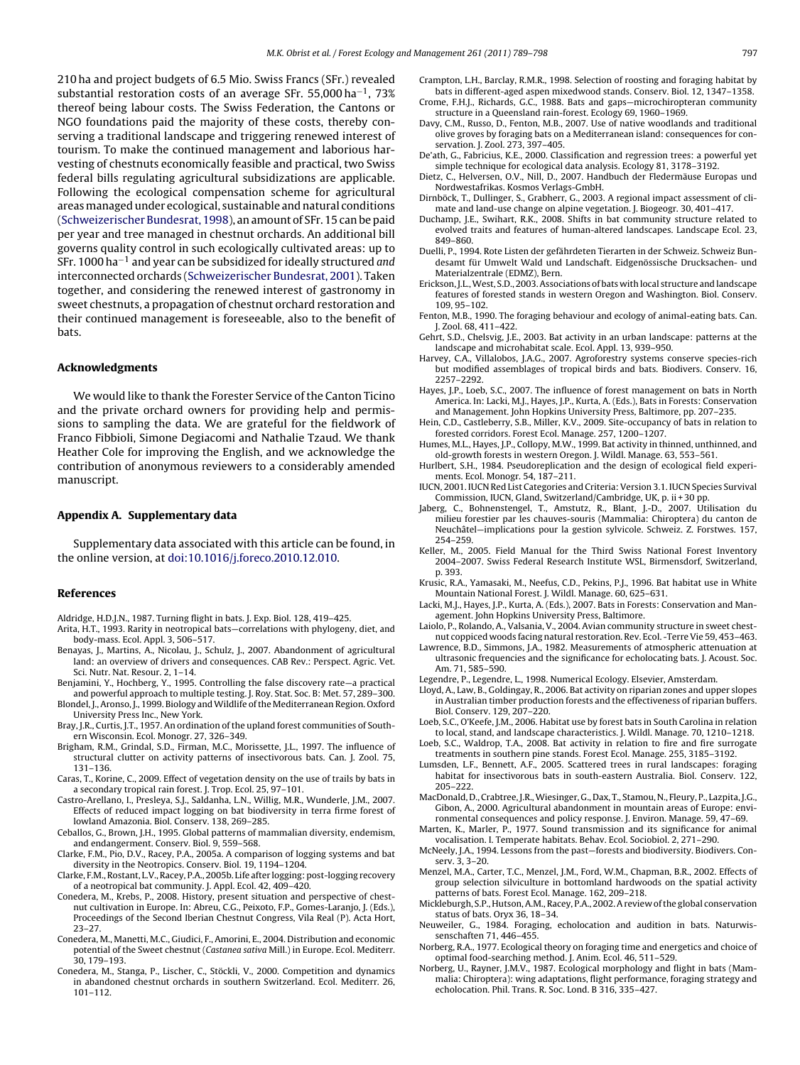<span id="page-8-0"></span>210 ha and project budgets of 6.5 Mio. Swiss Francs (SFr.) revealed substantial restoration costs of an average SFr. 55,000 ha−1, 73% thereof being labour costs. The Swiss Federation, the Cantons or NGO foundations paid the majority of these costs, thereby conserving a traditional landscape and triggering renewed interest of tourism. To make the continued management and laborious harvesting of chestnuts economically feasible and practical, two Swiss federal bills regulating agricultural subsidizations are applicable. Following the ecological compensation scheme for agricultural areasmanaged under ecological, sustainable and natural conditions ([Schweizerischer Bundesrat, 1998\),](#page-9-0) an amount of SFr. 15 can be paid per year and tree managed in chestnut orchards. An additional bill governs quality control in such ecologically cultivated areas: up to SFr. 1000 ha−<sup>1</sup> and year can be subsidized for ideally structured and interconnected orchards ([Schweizerischer Bundesrat, 2001\).](#page-9-0) Taken together, and considering the renewed interest of gastronomy in sweet chestnuts, a propagation of chestnut orchard restoration and their continued management is foreseeable, also to the benefit of bats.

#### **Acknowledgments**

We would like to thank the Forester Service of the Canton Ticino and the private orchard owners for providing help and permissions to sampling the data. We are grateful for the fieldwork of Franco Fibbioli, Simone Degiacomi and Nathalie Tzaud. We thank Heather Cole for improving the English, and we acknowledge the contribution of anonymous reviewers to a considerably amended manuscript.

#### **Appendix A. Supplementary data**

Supplementary data associated with this article can be found, in the online version, at [doi:10.1016/j.foreco.2010.12.010](http://dx.doi.org/10.1016/j.foreco.2010.12.010).

#### **References**

- Aldridge, H.D.J.N., 1987. Turning flight in bats. J. Exp. Biol. 128, 419–425.
- Arita, H.T., 1993. Rarity in neotropical bats—correlations with phylogeny, diet, and body-mass. Ecol. Appl. 3, 506–517.
- Benayas, J., Martins, A., Nicolau, J., Schulz, J., 2007. Abandonment of agricultural land: an overview of drivers and consequences. CAB Rev.: Perspect. Agric. Vet. Sci. Nutr. Nat. Resour. 2, 1–14.
- Benjamini, Y., Hochberg, Y., 1995. Controlling the false discovery rate—a practical and powerful approach to multiple testing. J. Roy. Stat. Soc. B: Met. 57, 289–300.
- Blondel, J., Aronso, J., 1999. Biology and Wildlife of the Mediterranean Region. Oxford University Press Inc., New York.
- Bray, J.R., Curtis, J.T., 1957. An ordination of the upland forest communities of Southern Wisconsin. Ecol. Monogr. 27, 326–349.
- Brigham, R.M., Grindal, S.D., Firman, M.C., Morissette, J.L., 1997. The influence of structural clutter on activity patterns of insectivorous bats. Can. J. Zool. 75, 131–136.
- Caras, T., Korine, C., 2009. Effect of vegetation density on the use of trails by bats in a secondary tropical rain forest. J. Trop. Ecol. 25, 97–101.
- Castro-Arellano, I., Presleya, S.J., Saldanha, L.N., Willig, M.R., Wunderle, J.M., 2007. Effects of reduced impact logging on bat biodiversity in terra firme forest of lowland Amazonia. Biol. Conserv. 138, 269–285.
- Ceballos, G., Brown, J.H., 1995. Global patterns of mammalian diversity, endemism, and endangerment. Conserv. Biol. 9, 559–568.
- Clarke, F.M., Pio, D.V., Racey, P.A., 2005a. A comparison of logging systems and bat diversity in the Neotropics. Conserv. Biol. 19, 1194–1204.
- Clarke, F.M., Rostant, L.V., Racey, P.A., 2005b. Life after logging: post-logging recovery of a neotropical bat community. J. Appl. Ecol. 42, 409–420.
- Conedera, M., Krebs, P., 2008. History, present situation and perspective of chestnut cultivation in Europe. In: Abreu, C.G., Peixoto, F.P., Gomes-Laranjo, J. (Eds.), Proceedings of the Second Iberian Chestnut Congress, Vila Real (P). Acta Hort, 23–27.
- Conedera, M., Manetti, M.C., Giudici, F., Amorini, E., 2004. Distribution and economic potential of the Sweet chestnut (Castanea sativa Mill.) in Europe. Ecol. Mediterr. 30, 179–193.
- Conedera, M., Stanga, P., Lischer, C., Stöckli, V., 2000. Competition and dynamics in abandoned chestnut orchards in southern Switzerland. Ecol. Mediterr. 26, 101–112.
- Crampton, L.H., Barclay, R.M.R., 1998. Selection of roosting and foraging habitat by bats in different-aged aspen mixedwood stands. Conserv. Biol. 12, 1347–1358.
- Crome, F.H.J., Richards, G.C., 1988. Bats and gaps—microchiropteran community structure in a Queensland rain-forest. Ecology 69, 1960–1969.
- Davy, C.M., Russo, D., Fenton, M.B., 2007. Use of native woodlands and traditional olive groves by foraging bats on a Mediterranean island: consequences for conservation. J. Zool. 273, 397–405.
- De'ath, G., Fabricius, K.E., 2000. Classification and regression trees: a powerful yet simple technique for ecological data analysis. Ecology 81, 3178–3192.
- Dietz, C., Helversen, O.V., Nill, D., 2007. Handbuch der Fledermäuse Europas und Nordwestafrikas. Kosmos Verlags-GmbH.
- Dirnböck, T., Dullinger, S., Grabherr, G., 2003. A regional impact assessment of climate and land-use change on alpine vegetation. J. Biogeogr. 30, 401–417.
- Duchamp, J.E., Swihart, R.K., 2008. Shifts in bat community structure related to evolved traits and features of human-altered landscapes. Landscape Ecol. 23, 849–860.
- Duelli, P., 1994. Rote Listen der gefährdeten Tierarten in der Schweiz. Schweiz Bundesamt für Umwelt Wald und Landschaft. Eidgenössische Drucksachen- und Materialzentrale (EDMZ), Bern.
- Erickson, J.L.,West, S.D., 2003. Associations of bats with local structure and landscape features of forested stands in western Oregon and Washington. Biol. Conserv. 109, 95–102.
- Fenton, M.B., 1990. The foraging behaviour and ecology of animal-eating bats. Can. J. Zool. 68, 411–422.
- Gehrt, S.D., Chelsvig, J.E., 2003. Bat activity in an urban landscape: patterns at the landscape and microhabitat scale. Ecol. Appl. 13, 939–950.
- Harvey, C.A., Villalobos, J.A.G., 2007. Agroforestry systems conserve species-rich but modified assemblages of tropical birds and bats. Biodivers. Conserv. 16, 2257–2292.
- Hayes, J.P., Loeb, S.C., 2007. The influence of forest management on bats in North America. In: Lacki, M.J., Hayes, J.P., Kurta, A. (Eds.), Bats in Forests: Conservation and Management. John Hopkins University Press, Baltimore, pp. 207–235.
- Hein, C.D., Castleberry, S.B., Miller, K.V., 2009. Site-occupancy of bats in relation to forested corridors. Forest Ecol. Manage. 257, 1200–1207.
- Humes, M.L., Hayes, J.P., Collopy, M.W., 1999. Bat activity in thinned, unthinned, and old-growth forests in western Oregon. J. Wildl. Manage. 63, 553–561.
- Hurlbert, S.H., 1984. Pseudoreplication and the design of ecological field experiments. Ecol. Monogr. 54, 187–211.
- IUCN, 2001. IUCN Red List Categories and Criteria: Version 3.1. IUCN Species Survival Commission, IUCN, Gland, Switzerland/Cambridge, UK, p. ii + 30 pp.
- Jaberg, C., Bohnenstengel, T., Amstutz, R., Blant, J.-D., 2007. Utilisation du milieu forestier par les chauves-souris (Mammalia: Chiroptera) du canton de Neuchâtel—implications pour la gestion sylvicole. Schweiz. Z. Forstwes. 157, 254–259.
- Keller, M., 2005. Field Manual for the Third Swiss National Forest Inventory 2004–2007. Swiss Federal Research Institute WSL, Birmensdorf, Switzerland, p. 393.
- Krusic, R.A., Yamasaki, M., Neefus, C.D., Pekins, P.J., 1996. Bat habitat use in White Mountain National Forest. J. Wildl. Manage. 60, 625–631.
- Lacki, M.J., Hayes, J.P., Kurta, A. (Eds.), 2007. Bats in Forests: Conservation and Management. John Hopkins University Press, Baltimore.
- Laiolo, P., Rolando, A., Valsania, V., 2004. Avian community structure in sweet chestnut coppiced woods facing natural restoration. Rev. Ecol. -Terre Vie 59, 453–463.
- Lawrence, B.D., Simmons, J.A., 1982. Measurements of atmospheric attenuation at ultrasonic frequencies and the significance for echolocating bats. J. Acoust. Soc. Am. 71, 585–590.
- Legendre, P., Legendre, L., 1998. Numerical Ecology. Elsevier, Amsterdam.
- Lloyd, A., Law, B., Goldingay, R., 2006. Bat activity on riparian zones and upper slopes in Australian timber production forests and the effectiveness of riparian buffers. Biol. Conserv. 129, 207–220.
- Loeb, S.C., O'Keefe, J.M., 2006. Habitat use by forest bats in South Carolina in relation to local, stand, and landscape characteristics. J. Wildl. Manage. 70, 1210–1218.
- Loeb, S.C., Waldrop, T.A., 2008. Bat activity in relation to fire and fire surrogate treatments in southern pine stands. Forest Ecol. Manage. 255, 3185–3192.
- Lumsden, L.F., Bennett, A.F., 2005. Scattered trees in rural landscapes: foraging habitat for insectivorous bats in south-eastern Australia. Biol. Conserv. 122, 205–222.
- MacDonald, D., Crabtree, J.R.,Wiesinger, G., Dax, T., Stamou, N., Fleury, P., Lazpita, J.G., Gibon, A., 2000. Agricultural abandonment in mountain areas of Europe: environmental consequences and policy response. J. Environ. Manage. 59, 47–69.
- Marten, K., Marler, P., 1977. Sound transmission and its significance for animal vocalisation. I. Temperate habitats. Behav. Ecol. Sociobiol. 2, 271–290.
- McNeely, J.A., 1994. Lessons from the past—forests and biodiversity. Biodivers. Conserv. 3, 3–20.
- Menzel, M.A., Carter, T.C., Menzel, J.M., Ford, W.M., Chapman, B.R., 2002. Effects of group selection silviculture in bottomland hardwoods on the spatial activity patterns of bats. Forest Ecol. Manage. 162, 209–218.
- Mickleburgh, S.P., Hutson, A.M., Racey, P.A., 2002. A review of the global conservation status of bats. Oryx 36, 18–34.
- Neuweiler, G., 1984. Foraging, echolocation and audition in bats. Naturwissenschaften 71, 446–455.
- Norberg, R.A., 1977. Ecological theory on foraging time and energetics and choice of optimal food-searching method. J. Anim. Ecol. 46, 511–529.
- Norberg, U., Rayner, J.M.V., 1987. Ecological morphology and flight in bats (Mammalia: Chiroptera): wing adaptations, flight performance, foraging strategy and echolocation. Phil. Trans. R. Soc. Lond. B 316, 335–427.